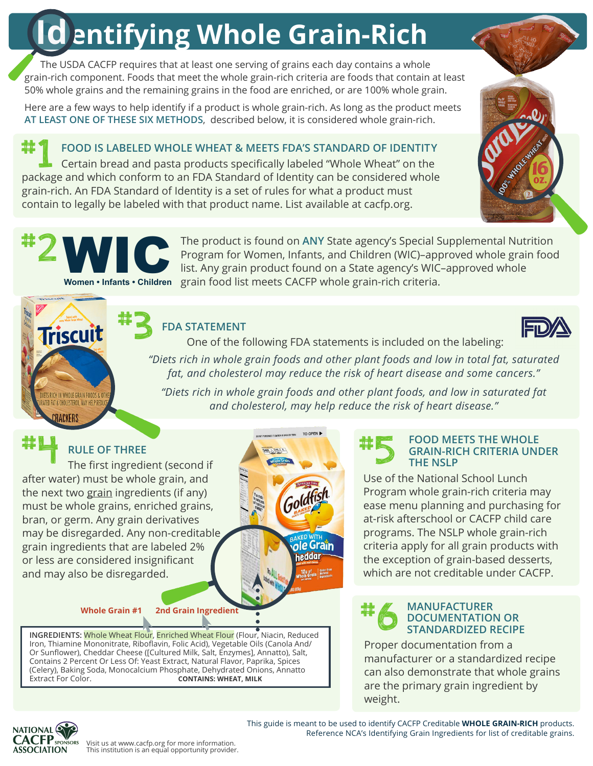# **Identifying Whole Grain-Rich**

The USDA CACFP requires that at least one serving of grains each day contains a whole grain-rich component. Foods that meet the whole grain-rich criteria are foods that contain at least 50% whole grains and the remaining grains in the food are enriched, or are 100% whole grain.

Here are a few ways to help identify if a product is whole grain-rich. As long as the product meets **AT LEAST ONE OF THESE SIX METHODS**, described below, it is considered whole grain-rich.

**FOOD IS LABELED WHOLE WHEAT & MEETS FDA'S STANDARD OF IDENTITY**  Certain bread and pasta products specifically labeled "Whole Wheat" on the **FOOD IS LABELED WHOLE WHEAT & MEETS FDA'S STANDARD OF IDENTITY**<br>Certain bread and pasta products specifically labeled "Whole Wheat" on the<br>package and which conform to an FDA Standard of Identity can be considered whole grain-rich. An FDA Standard of Identity is a set of rules for what a product must contain to legally be labeled with that product name. List available at cacfp.org.



The product is found on ANY State agency's Special Supplemental Nutrition<br>Program for Women, Infants, and Children (WIC)-approved whole grain food Program for Women, Infants, and Children (WIC)–approved whole grain food The product is found on ANY State agency's Special Supplemental Nutre Program for Women, Infants, and Children (WIC)-approved whole grain list. Any grain product found on a State agency's WIC–approved whole Women: Infants: **Women • Infants • Children** grain food list meets CACFP whole grain-rich criteria.

## **FDA STATEMENT**



One of the following FDA statements is included on the labeling:

*"Diets rich in whole grain foods and other plant foods and low in total fat, saturated fat, and cholesterol may reduce the risk of heart disease and some cancers."*

*"Diets rich in whole grain foods and other plant foods, and low in saturated fat and cholesterol, may help reduce the risk of heart disease."*

**Triscuit** 

S RICH IN WHOLE GRAIN FOODS & OT D FAT & CHOLESTEROL, MAY HELP RE 'RACKFRS

after water) must be whole grain, and the next two grain ingredients (if any) must be whole grains, enriched grains, bran, or germ. Any grain derivatives may be disregarded. Any non-creditable grain ingredients that are labeled 2% or less are considered insignificant and may also be disregarded. #4

#3



#### **Whole Grain #1 2nd Grain Ingredient**

**INGREDIENTS:** Whole Wheat Flour, Enriched Wheat Flour (Flour, Niacin, Reduced Iron, Thiamine Mononitrate, Riboflavin, Folic Acid), Vegetable Oils (Canola And/ Or Sunflower), Cheddar Cheese ([Cultured Milk, Salt, Enzymes], Annatto), Salt, Contains 2 Percent Or Less Of: Yeast Extract, Natural Flavor, Paprika, Spices (Celery), Baking Soda, Monocalcium Phosphate, Dehydrated Onions, Annatto **CONTAINS: WHEAT, MILK** 

### **FOOD MEETS THE WHOLE GRAIN-RICH CRITERIA UNDER THE NSLP**

Use of the National School Lunch Program whole grain-rich criteria may ease menu planning and purchasing for at-risk afterschool or CACFP child care programs. The NSLP whole grain-rich criteria apply for all grain products with the exception of grain-based desserts, which are not creditable under CACFP.

#### **MANUFACTURER DOCUMENTATION OR STANDARDIZED RECIPE** #6

Proper documentation from a manufacturer or a standardized recipe can also demonstrate that whole grains are the primary grain ingredient by weight.



This guide is meant to be used to identify CACFP Creditable **WHOLE GRAIN-RICH** products. Reference NCA's Identifying Grain Ingredients for list of creditable grains.

Visit us at www.cacfp.org for more information. This institution is an equal opportunity provider.